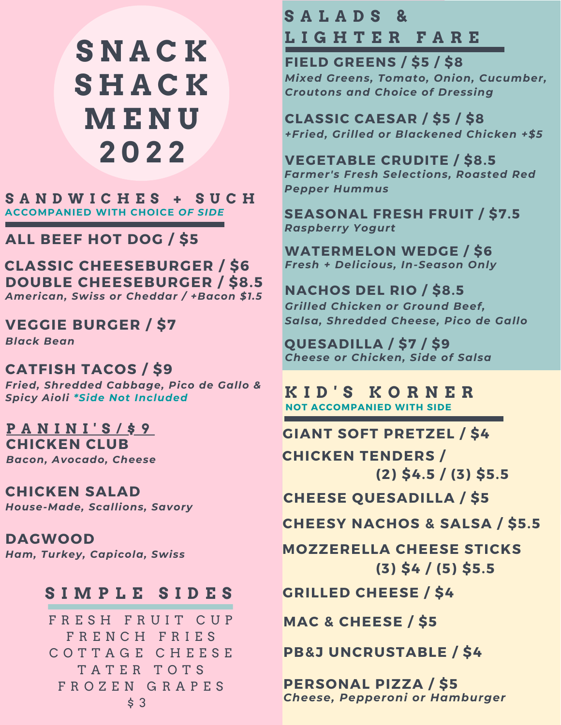# **S N A C K S H A C K M E N U 2 0 2 2**

**S A N D W I C H E S + S U C H ACCOMPANIED WITH CHOICE** *OF SIDE*

**ALL BEEF HOT DOG / \$5**

**CLASSIC CHEESEBURGER / \$6** *American, Swiss or Cheddar / +Bacon \$1.5* **DOUBLE CHEESEBURGER / \$8.5**

**VEGGIE BURGER / \$7**

*Black Bean*

**CATFISH TACOS / \$9** *Fried, Shredded Cabbage, Pico de Gallo & Spicy Aioli \*Side Not Included*

**CHICKEN CLUB** *Bacon, Avocado, Cheese* **P A N I N I ' S / \$ 9**

**CHICKEN SALAD** *House-Made, Scallions, Savory*

**DAGWOOD** *Ham, Turkey, Capicola, Swiss*

#### **S I M P L E S I D E S**

FRESH FRUIT CUP F R E N C H F R I E S C O T T A G E C H E E S E T A T E R T O T S F R O Z E N G R A P E S \$ 3

#### **S A L A D S & L I G H T E R F A R E**

**FIELD GREENS / \$5 / \$8** *Mixed Greens, Tomato, Onion, Cucumber, Croutons and Choice of Dressing*

**CLASSIC CAESAR / \$5 / \$8** *+Fried, Grilled or Blackened Chicken +\$5*

**VEGETABLE CRUDITE / \$8.5** *Farmer's Fresh Selections, Roasted Red Pepper Hummus*

**SEASONAL FRESH FRUIT / \$7.5** *Raspberry Yogurt*

**WATERMELON WEDGE / \$6** *Fresh + Delicious, In-Season Only*

**NACHOS DEL RIO / \$8.5** *Grilled Chicken or Ground Beef, Salsa, Shredded Cheese, Pico de Gallo*

**QUESADILLA / \$7 / \$9** *Cheese or Chicken, Side of Salsa*

**K I D ' S K O R N E R NOT ACCOMPANIED WITH SIDE**

**GIANT SOFT PRETZEL / \$4 CHICKEN TENDERS / (2) \$4.5 / (3) \$5.5**

**CHEESE QUESADILLA / \$5**

**CHEESY NACHOS & SALSA / \$5.5**

**MOZZERELLA CHEESE STICKS (3) \$4 / (5) \$5.5**

**GRILLED CHEESE / \$4**

**MAC & CHEESE / \$5**

**PB&J UNCRUSTABLE / \$4**

**PERSONAL PIZZA / \$5** *Cheese, Pepperoni or Hamburger*